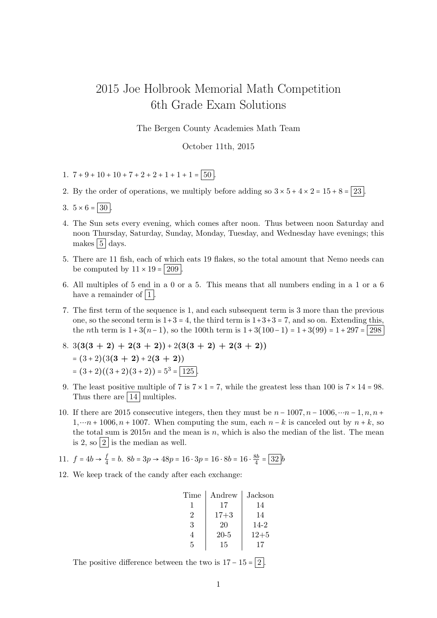## 2015 Joe Holbrook Memorial Math Competition 6th Grade Exam Solutions

The Bergen County Academies Math Team

October 11th, 2015

- 1.  $7 + 9 + 10 + 10 + 7 + 2 + 2 + 1 + 1 + 1 = 50$
- 2. By the order of operations, we multiply before adding so  $3 \times 5 + 4 \times 2 = 15 + 8 = 23$ .
- 3.  $5 \times 6 = 30$
- 4. The Sun sets every evening, which comes after noon. Thus between noon Saturday and noon Thursday, Saturday, Sunday, Monday, Tuesday, and Wednesday have evenings; this makes  $|5|$  days.
- 5. There are 11 fish, each of which eats 19 flakes, so the total amount that Nemo needs can be computed by  $11 \times 19 = 209$ .
- 6. All multiples of 5 end in a 0 or a 5. This means that all numbers ending in a 1 or a 6 have a remainder of  $|1|$ .
- 7. The first term of the sequence is 1, and each subsequent term is 3 more than the previous one, so the second term is  $1+3=4$ , the third term is  $1+3+3=7$ , and so on. Extending this, the *n*th term is  $1 + 3(n-1)$ , so the 100th term is  $1 + 3(100-1) = 1 + 3(99) = 1 + 297 = |298|$

8. 
$$
3(3(3 + 2) + 2(3 + 2)) + 2(3(3 + 2) + 2(3 + 2))
$$
  
\n=  $(3+2)(3(3 + 2) + 2(3 + 2))$   
\n=  $(3+2)((3+2)(3+2)) = 5^3 = 125$ 

- 9. The least positive multiple of 7 is  $7 \times 1 = 7$ , while the greatest less than 100 is  $7 \times 14 = 98$ . Thus there are  $|14|$  multiples.
- 10. If there are 2015 consecutive integers, then they must be  $n 1007, n 1006, \dots n 1, n, n +$  $1, \dots n + 1006, n + 1007$ . When computing the sum, each  $n - k$  is canceled out by  $n + k$ , so the total sum is  $2015n$  and the mean is n, which is also the median of the list. The mean is 2, so  $|2|$  is the median as well.

11. 
$$
f = 4b \rightarrow \frac{f}{4} = b
$$
.  $8b = 3p \rightarrow 48p = 16 \cdot 3p = 16 \cdot 8b = 16 \cdot \frac{8b}{4} = \boxed{32}b$ 

12. We keep track of the candy after each exchange:

| Time | Andrew   | Jackson  |
|------|----------|----------|
|      | 17       | 14       |
| 2    | $17 + 3$ | 14       |
| 3    | 20       | 14-2     |
|      | $20 - 5$ | $12 + 5$ |
| 5    | 15       |          |

The positive difference between the two is  $17 - 15 = 2$ .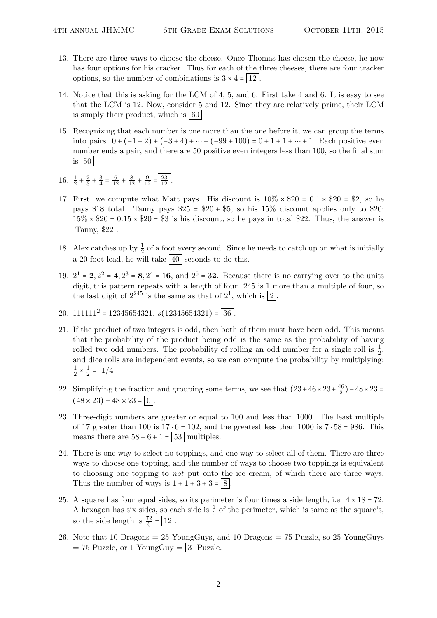- 13. There are three ways to choose the cheese. Once Thomas has chosen the cheese, he now has four options for his cracker. Thus for each of the three cheeses, there are four cracker options, so the number of combinations is  $3 \times 4 = 12$ .
- 14. Notice that this is asking for the LCM of 4, 5, and 6. First take 4 and 6. It is easy to see that the LCM is 12. Now, consider 5 and 12. Since they are relatively prime, their LCM is simply their product, which is  $\vert 60 \vert$
- 15. Recognizing that each number is one more than the one before it, we can group the terms into pairs:  $0 + (-1 + 2) + (-3 + 4) + \cdots + (-99 + 100) = 0 + 1 + 1 + \cdots + 1$ . Each positive even number ends a pair, and there are 50 positive even integers less than 100, so the final sum is  $50$
- 16.  $\frac{1}{2} + \frac{2}{3}$  $rac{2}{3} + \frac{3}{4}$  $\frac{3}{4} = \frac{6}{12} + \frac{8}{12} + \frac{9}{12} = \frac{23}{12}.$
- 17. First, we compute what Matt pays. His discount is  $10\% \times $20 = 0.1 \times $20 = $2$ , so he pays \$18 total. Tanny pays  $$25 = $20 + $5$ , so his 15% discount applies only to \$20:  $15\% \times $20 = 0.15 \times $20 = $3$  is his discount, so he pays in total \$22. Thus, the answer is Tanny, \$22 .
- 18. Alex catches up by  $\frac{1}{2}$  of a foot every second. Since he needs to catch up on what is initially a 20 foot lead, he will take  $|40|$  seconds to do this.
- 19.  $2^1 = 2$ ,  $2^2 = 4$ ,  $2^3 = 8$ ,  $2^4 = 16$ , and  $2^5 = 32$ . Because there is no carrying over to the units digit, this pattern repeats with a length of four. 245 is 1 more than a multiple of four, so the last digit of  $2^{245}$  is the same as that of  $2^1$ , which is  $\boxed{2}$ .
- 20.  $111111^2 = 12345654321. s(12345654321) = 36$
- 21. If the product of two integers is odd, then both of them must have been odd. This means that the probability of the product being odd is the same as the probability of having rolled two odd numbers. The probability of rolling an odd number for a single roll is  $\frac{1}{2}$ , and dice rolls are independent events, so we can compute the probability by multiplying: 1  $\frac{1}{2} \times \frac{1}{2}$  $\frac{1}{2} = |1/4|$ .
- 22. Simplifying the fraction and grouping some terms, we see that  $(23+46\times23+\frac{46}{2})$  $\frac{46}{2}$ ) – 48 × 23 =  $(48 \times 23) - 48 \times 23 = 0$
- 23. Three-digit numbers are greater or equal to 100 and less than 1000. The least multiple of 17 greater than 100 is  $17 \cdot 6 = 102$ , and the greatest less than 1000 is  $7 \cdot 58 = 986$ . This means there are  $58 - 6 + 1 = 53$  multiples.
- 24. There is one way to select no toppings, and one way to select all of them. There are three ways to choose one topping, and the number of ways to choose two toppings is equivalent to choosing one topping to not put onto the ice cream, of which there are three ways. Thus the number of ways is  $1 + 1 + 3 + 3 = 8$ .
- 25. A square has four equal sides, so its perimeter is four times a side length, i.e.  $4 \times 18 = 72$ . A hexagon has six sides, so each side is  $\frac{1}{6}$  of the perimeter, which is same as the square's, so the side length is  $\frac{72}{6} = \boxed{12}$ .
- 26. Note that 10 Dragons  $= 25$  YoungGuys, and 10 Dragons  $= 75$  Puzzle, so 25 YoungGuys  $= 75$  Puzzle, or 1 YoungGuy  $= 3$  Puzzle.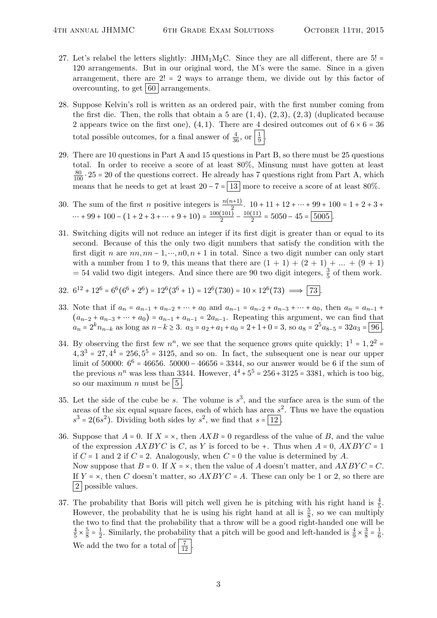- 27. Let's relabel the letters slightly:  $JHM_1M_2C$ . Since they are all different, there are 5! = 120 arrangements. But in our original word, the M's were the same. Since in a given arrangement, there are  $2! = 2$  ways to arrange them, we divide out by this factor of overcounting, to get  $60$  arrangements.
- 28. Suppose Kelvin's roll is written as an ordered pair, with the first number coming from the first die. Then, the rolls that obtain a 5 are  $(1,4)$ ,  $(2,3)$ ,  $(2,3)$  (duplicated because 2 appears twice on the first one), (4, 1). There are 4 desired outcomes out of  $6 \times 6 = 36$ total possible outcomes, for a final answer of  $\frac{4}{36}$ , or  $\frac{1}{9}$ .
- 29. There are 10 questions in Part A and 15 questions in Part B, so there must be 25 questions total. In order to receive a score of at least 80%, Minsung must have gotten at least  $\frac{80}{100} \cdot 25 = 20$  of the questions correct. He already has 7 questions right from Part A, which means that he needs to get at least  $20 - 7 = 13$  more to receive a score of at least 80%.
- 30. The sum of the first *n* positive integers is  $\frac{n(n+1)}{2}$ .  $10 + 11 + 12 + \dots + 99 + 100 = 1 + 2 + 3 + \dots$  $\cdots + 99 + 100 - (1 + 2 + 3 + \cdots + 9 + 10) = \frac{100(101)}{2}$  $\frac{(101)}{2} - \frac{10(11)}{2}$  $\frac{(11)}{2}$  = 5050 – 45 =  $\boxed{5005}$ .
- 31. Switching digits will not reduce an integer if its first digit is greater than or equal to its second. Because of this the only two digit numbers that satisfy the condition with the first digit n are  $nn, nn-1, ..., n0, n+1$  in total. Since a two digit number can only start with a number from 1 to 9, this means that there are  $(1 + 1) + (2 + 1) + ... + (9 + 1)$  $=$  54 valid two digit integers. And since there are 90 two digit integers,  $\frac{3}{5}$  of them work.

32. 
$$
6^{12} + 12^6 = 6^6(6^6 + 2^6) = 12^6(3^6 + 1) = 12^6(730) = 10 \times 12^6(73) \implies \boxed{73}
$$
.

- 33. Note that if  $a_n = a_{n-1} + a_{n-2} + \cdots + a_0$  and  $a_{n-1} = a_{n-2} + a_{n-3} + \cdots + a_0$ , then  $a_n = a_{n-1}$  $(a_{n-2} + a_{n-3} + \cdots + a_0) = a_{n-1} + a_{n-1} = 2a_{n-1}$ . Repeating this argument, we can find that  $a_n = 2^k n_{n-k}$  as long as  $n-k \ge 3$ .  $a_3 = a_2 + a_1 + a_0 = 2+1+0=3$ , so  $a_8 = 2^5 a_{8-5} = 32a_3 = 96$ .
- 34. By observing the first few  $n^n$ , we see that the sequence grows quite quickly;  $1^1 = 1, 2^2 =$  $4, 3<sup>3</sup> = 27, 4<sup>4</sup> = 256, 5<sup>5</sup> = 3125,$  and so on. In fact, the subsequent one is near our upper limit of 50000:  $6^6 = 46656$ . 50000 – 46656 = 3344, so our answer would be 6 if the sum of the previous  $n^n$  was less than 3344. However,  $4^4 + 5^5 = 256 + 3125 = 3381$ , which is too big, so our maximum *n* must be  $5$ .
- 35. Let the side of the cube be s. The volume is  $s^3$ , and the surface area is the sum of the areas of the six equal square faces, each of which has area  $s^2$ . Thus we have the equation  $s^3 = 2(6s^2)$ . Dividing both sides by  $s^2$ , we find that  $s = \boxed{12}$ .
- 36. Suppose that  $A = 0$ . If  $X = \times$ , then  $AXB = 0$  regardless of the value of B, and the value of the expression  $AXBYC$  is C, as Y is forced to be +. Thus when  $A = 0$ ,  $AXBYC = 1$ if  $C = 1$  and 2 if  $C = 2$ . Analogously, when  $C = 0$  the value is determined by A. Now suppose that  $B = 0$ . If  $X = \times$ , then the value of A doesn't matter, and  $AXBYC = C$ . If  $Y = \times$ , then C doesn't matter, so  $AXBYC = A$ . These can only be 1 or 2, so there are |2| possible values.
- 37. The probability that Boris will pitch well given he is pitching with his right hand is  $\frac{4}{5}$ . However, the probability that he is using his right hand at all is  $\frac{5}{8}$ , so we can multiply the two to find that the probability that a throw will be a good right-handed one will be 4  $\frac{4}{5} \times \frac{5}{8}$  $\frac{5}{8} = \frac{1}{2}$  $\frac{1}{2}$ . Similarly, the probability that a pitch will be good and left-handed is  $\frac{4}{9} \times \frac{3}{8}$  $\frac{3}{8} = \frac{1}{6}$  $\frac{1}{6}$ . We add the two for a total of  $\frac{7}{12}$ .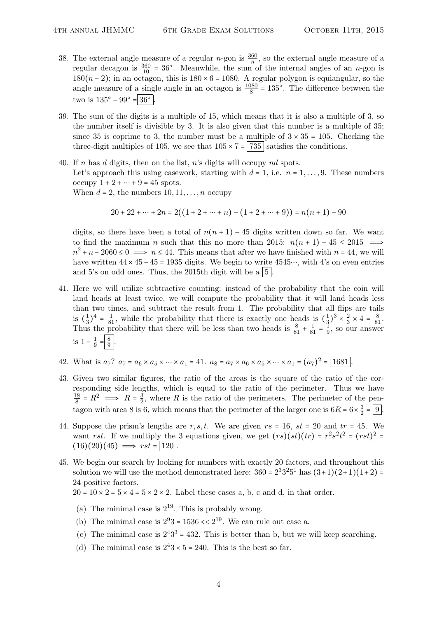- 38. The external angle measure of a regular *n*-gon is  $\frac{360}{n}$ , so the external angle measure of a regular decagon is  $\frac{360}{10} = 36^{\circ}$ . Meanwhile, the sum of the internal angles of an *n*-gon is 180(n − 2); in an octagon, this is  $180 \times 6 = 1080$ . A regular polygon is equiangular, so the angle measure of a single angle in an octagon is  $\frac{1080}{8} = 135^{\circ}$ . The difference between the two is  $135^{\circ} - 99^{\circ} = 36^{\circ}$ .
- 39. The sum of the digits is a multiple of 15, which means that it is also a multiple of 3, so the number itself is divisible by 3. It is also given that this number is a multiple of 35; since 35 is coprime to 3, the number must be a multiple of  $3 \times 35 = 105$ . Checking the three-digit multiples of 105, we see that  $105 \times 7 = |735|$  satisfies the conditions.
- 40. If n has d digits, then on the list, n's digits will occupy nd spots. Let's approach this using casework, starting with  $d = 1$ , i.e.  $n = 1, \ldots, 9$ . These numbers occupy  $1 + 2 + \cdots + 9 = 45$  spots. When  $d = 2$ , the numbers  $10, 11, \ldots, n$  occupy

$$
20 + 22 + \dots + 2n = 2((1 + 2 + \dots + n) - (1 + 2 + \dots + 9)) = n(n + 1) - 90
$$

digits, so there have been a total of  $n(n + 1) - 45$  digits written down so far. We want to find the maximum n such that this no more than 2015:  $n(n+1) - 45 \leq 2015$   $\implies$  $n^2 + n - 2060 \leq 0 \implies n \leq 44$ . This means that after we have finished with  $n = 44$ , we will have written  $44 \times 45 - 45 = 1935$  digits. We begin to write  $4545...$ , with 4's on even entries and 5's on odd ones. Thus, the 2015th digit will be a  $\vert 5 \vert$ 

- 41. Here we will utilize subtractive counting; instead of the probability that the coin will land heads at least twice, we will compute the probability that it will land heads less than two times, and subtract the result from 1. The probability that all flips are tails is  $(\frac{1}{3})$  $\frac{1}{3}$ )<sup>4</sup> =  $\frac{1}{81}$ , while the probability that there is exactly one heads is  $(\frac{1}{3})$  $(\frac{1}{3})^3 \times \frac{2}{3}$  $\frac{2}{3} \times 4 = \frac{8}{81}.$ Thus the probability that there will be less than two heads is  $\frac{8}{81} + \frac{1}{81} = \frac{1}{9}$  $\frac{1}{9}$ , so our answer is  $1-\frac{1}{9}$  $rac{1}{9} = \frac{8}{9}$  $rac{8}{9}$ .
- 42. What is  $a_7$ ?  $a_7 = a_6 \times a_5 \times \cdots \times a_1 = 41$ .  $a_8 = a_7 \times a_6 \times a_5 \times \cdots \times a_1 = (a_7)^2 = \boxed{1681}$ .
- 43. Given two similar figures, the ratio of the areas is the square of the ratio of the corresponding side lengths, which is equal to the ratio of the perimeter. Thus we have 18  $\frac{18}{8}$  =  $R^2$   $\implies$   $R = \frac{3}{2}$  $\frac{3}{2}$ , where R is the ratio of the perimeters. The perimeter of the pentagon with area 8 is 6, which means that the perimeter of the larger one is  $6R = 6 \times \frac{3}{2}$  $\frac{3}{2} = 9$ .
- 44. Suppose the prism's lengths are  $r, s, t$ . We are given  $rs = 16$ ,  $st = 20$  and  $tr = 45$ . We want rst. If we multiply the 3 equations given, we get  $(rs)(st)(tr) = r^2s^2t^2 = (rst)^2 =$  $(16)(20)(45) \implies rst = 120$
- 45. We begin our search by looking for numbers with exactly 20 factors, and throughout this solution we will use the method demonstrated here:  $360 = 2^3 3^2 5^1$  has  $(3+1)(2+1)(1+2) =$ 24 positive factors.
	- $20 = 10 \times 2 = 5 \times 4 = 5 \times 2 \times 2$ . Label these cases a, b, c and d, in that order.
	- (a) The minimal case is  $2^{19}$ . This is probably wrong.
	- (b) The minimal case is  $2^93 = 1536 \ll 2^{19}$ . We can rule out case a.
	- (c) The minimal case is  $2^43^3 = 432$ . This is better than b, but we will keep searching.
	- (d) The minimal case is  $2^43 \times 5 = 240$ . This is the best so far.